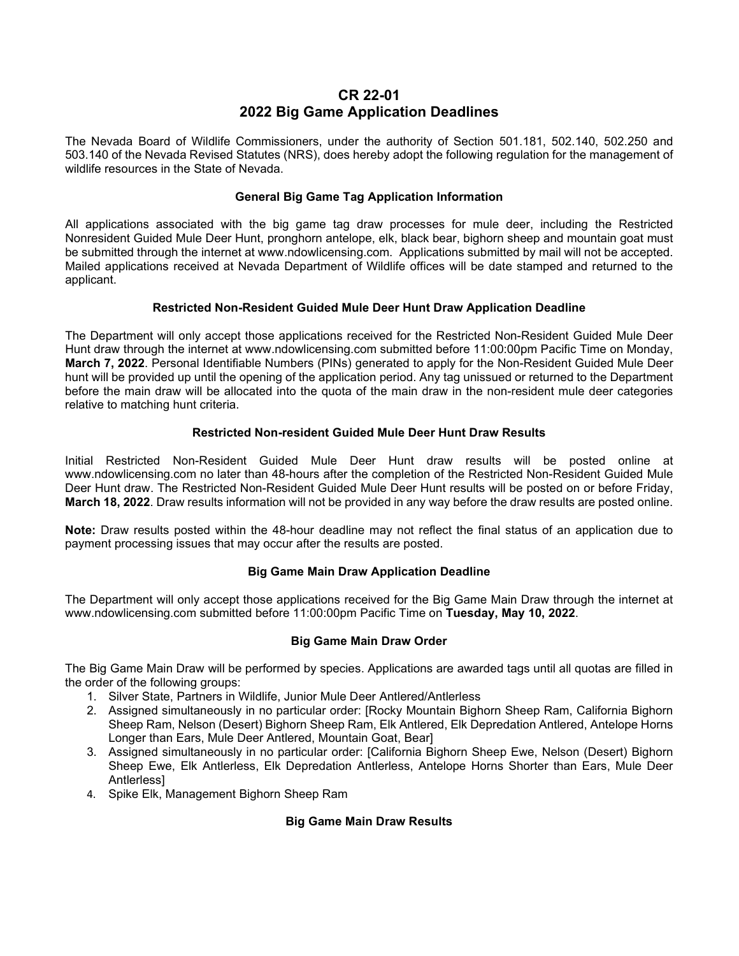# **CR 22-01 2022 Big Game Application Deadlines**

 The Nevada Board of Wildlife Commissioners, under the authority of Section 501.181, 502.140, 502.250 and 503.140 of the Nevada Revised Statutes (NRS), does hereby adopt the following regulation for the management of wildlife resources in the State of Nevada.

### **General Big Game Tag Application Information**

 All applications associated with the big game tag draw processes for mule deer, including the Restricted be submitted through the internet at [www.ndowlicensing.com.](www.ndowlicensing.com) Applications submitted by mail will not be accepted. Mailed applications received at Nevada Department of Wildlife offices will be date stamped and returned to the Nonresident Guided Mule Deer Hunt, pronghorn antelope, elk, black bear, bighorn sheep and mountain goat must applicant.

# **Restricted Non-Resident Guided Mule Deer Hunt Draw Application Deadline**

 The Department will only accept those applications received for the Restricted Non-Resident Guided Mule Deer **March 7, 2022**. Personal Identifiable Numbers (PINs) generated to apply for the Non-Resident Guided Mule Deer before the main draw will be allocated into the quota of the main draw in the non-resident mule deer categories Hunt draw through the internet at<www.ndowlicensing.com> submitted before 11:00:00pm Pacific Time on Monday, hunt will be provided up until the opening of the application period. Any tag unissued or returned to the Department relative to matching hunt criteria.

### **Restricted Non-resident Guided Mule Deer Hunt Draw Results**

Initial Restricted Non-Resident Guided Mule Deer Hunt draw results will be posted online at <www.ndowlicensing.com>no later than 48-hours after the completion of the Restricted Non-Resident Guided Mule Deer Hunt draw. The Restricted Non-Resident Guided Mule Deer Hunt results will be posted on or before Friday, **March 18, 2022**. Draw results information will not be provided in any way before the draw results are posted online.

**Note:** Draw results posted within the 48-hour deadline may not reflect the final status of an application due to payment processing issues that may occur after the results are posted.

# **Big Game Main Draw Application Deadline**

 The Department will only accept those applications received for the Big Game Main Draw through the internet at <www.ndowlicensing.com>submitted before 11:00:00pm Pacific Time on **Tuesday, May 10, 2022**.

#### **Big Game Main Draw Order**

the order of the following groups: The Big Game Main Draw will be performed by species. Applications are awarded tags until all quotas are filled in

- the order of the following groups: 1. Silver State, Partners in Wildlife, Junior Mule Deer Antlered/Antlerless
	- 2. Assigned simultaneously in no particular order: [Rocky Mountain Bighorn Sheep Ram, California Bighorn Sheep Ram, Nelson (Desert) Bighorn Sheep Ram, Elk Antlered, Elk Depredation Antlered, Antelope Horns Longer than Ears, Mule Deer Antlered, Mountain Goat, Bear]
	- 3. Assigned simultaneously in no particular order: [California Bighorn Sheep Ewe, Nelson (Desert) Bighorn Sheep Ewe, Elk Antlerless, Elk Depredation Antlerless, Antelope Horns Shorter than Ears, Mule Deer Antlerless]
	- 4. Spike Elk, Management Bighorn Sheep Ram

# **Big Game Main Draw Results**